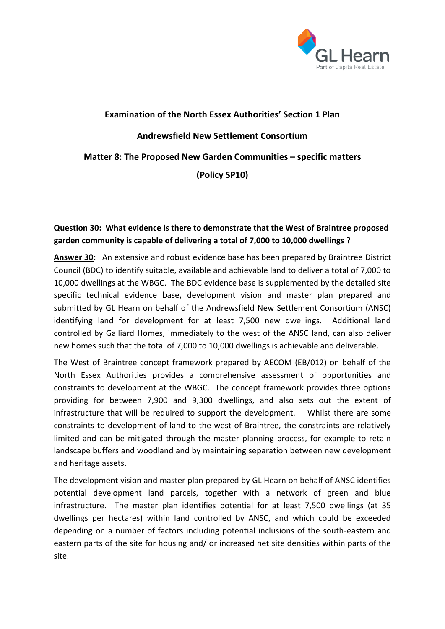

# **Examination of the North Essex Authorities' Section 1 Plan Andrewsfield New Settlement Consortium Matter 8: The Proposed New Garden Communities – specific matters (Policy SP10)**

## **Question 30: What evidence is there to demonstrate that the West of Braintree proposed garden community is capable of delivering a total of 7,000 to 10,000 dwellings ?**

**Answer 30:** An extensive and robust evidence base has been prepared by Braintree District Council (BDC) to identify suitable, available and achievable land to deliver a total of 7,000 to 10,000 dwellings at the WBGC. The BDC evidence base is supplemented by the detailed site specific technical evidence base, development vision and master plan prepared and submitted by GL Hearn on behalf of the Andrewsfield New Settlement Consortium (ANSC) identifying land for development for at least 7,500 new dwellings. Additional land controlled by Galliard Homes, immediately to the west of the ANSC land, can also deliver new homes such that the total of 7,000 to 10,000 dwellings is achievable and deliverable.

The West of Braintree concept framework prepared by AECOM (EB/012) on behalf of the North Essex Authorities provides a comprehensive assessment of opportunities and constraints to development at the WBGC. The concept framework provides three options providing for between 7,900 and 9,300 dwellings, and also sets out the extent of infrastructure that will be required to support the development. Whilst there are some constraints to development of land to the west of Braintree, the constraints are relatively limited and can be mitigated through the master planning process, for example to retain landscape buffers and woodland and by maintaining separation between new development and heritage assets.

The development vision and master plan prepared by GL Hearn on behalf of ANSC identifies potential development land parcels, together with a network of green and blue infrastructure. The master plan identifies potential for at least 7,500 dwellings (at 35 dwellings per hectares) within land controlled by ANSC, and which could be exceeded depending on a number of factors including potential inclusions of the south-eastern and eastern parts of the site for housing and/ or increased net site densities within parts of the site.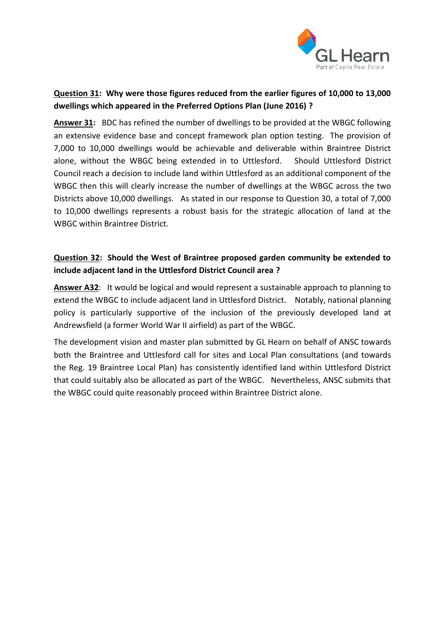

## **Question 31: Why were those figures reduced from the earlier figures of 10,000 to 13,000 dwellings which appeared in the Preferred Options Plan (June 2016) ?**

**Answer 31:** BDC has refined the number of dwellings to be provided at the WBGC following an extensive evidence base and concept framework plan option testing. The provision of 7,000 to 10,000 dwellings would be achievable and deliverable within Braintree District alone, without the WBGC being extended in to Uttlesford. Should Uttlesford District Council reach a decision to include land within Uttlesford as an additional component of the WBGC then this will clearly increase the number of dwellings at the WBGC across the two Districts above 10,000 dwellings. As stated in our response to Question 30, a total of 7,000 to 10,000 dwellings represents a robust basis for the strategic allocation of land at the WBGC within Braintree District.

# **Question 32: Should the West of Braintree proposed garden community be extended to include adjacent land in the Uttlesford District Council area ?**

**Answer A32**: It would be logical and would represent a sustainable approach to planning to extend the WBGC to include adjacent land in Uttlesford District. Notably, national planning policy is particularly supportive of the inclusion of the previously developed land at Andrewsfield (a former World War II airfield) as part of the WBGC.

The development vision and master plan submitted by GL Hearn on behalf of ANSC towards both the Braintree and Uttlesford call for sites and Local Plan consultations (and towards the Reg. 19 Braintree Local Plan) has consistently identified land within Uttlesford District that could suitably also be allocated as part of the WBGC. Nevertheless, ANSC submits that the WBGC could quite reasonably proceed within Braintree District alone.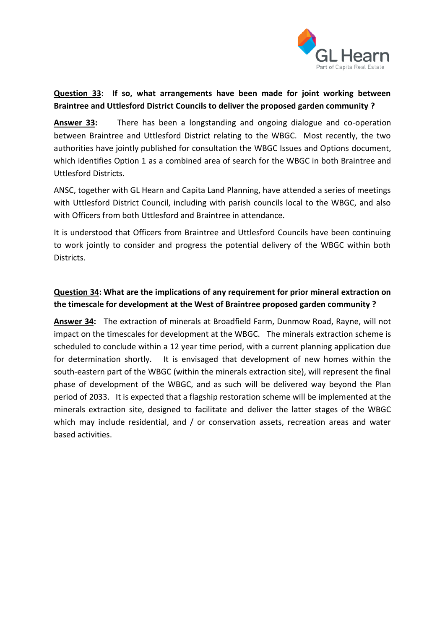

#### **Question 33: If so, what arrangements have been made for joint working between Braintree and Uttlesford District Councils to deliver the proposed garden community ?**

**Answer 33:** There has been a longstanding and ongoing dialogue and co-operation between Braintree and Uttlesford District relating to the WBGC. Most recently, the two authorities have jointly published for consultation the WBGC Issues and Options document, which identifies Option 1 as a combined area of search for the WBGC in both Braintree and Uttlesford Districts.

ANSC, together with GL Hearn and Capita Land Planning, have attended a series of meetings with Uttlesford District Council, including with parish councils local to the WBGC, and also with Officers from both Uttlesford and Braintree in attendance.

It is understood that Officers from Braintree and Uttlesford Councils have been continuing to work jointly to consider and progress the potential delivery of the WBGC within both Districts.

# **Question 34: What are the implications of any requirement for prior mineral extraction on the timescale for development at the West of Braintree proposed garden community ?**

**Answer 34:** The extraction of minerals at Broadfield Farm, Dunmow Road, Rayne, will not impact on the timescales for development at the WBGC. The minerals extraction scheme is scheduled to conclude within a 12 year time period, with a current planning application due for determination shortly. It is envisaged that development of new homes within the south-eastern part of the WBGC (within the minerals extraction site), will represent the final phase of development of the WBGC, and as such will be delivered way beyond the Plan period of 2033. It is expected that a flagship restoration scheme will be implemented at the minerals extraction site, designed to facilitate and deliver the latter stages of the WBGC which may include residential, and / or conservation assets, recreation areas and water based activities.